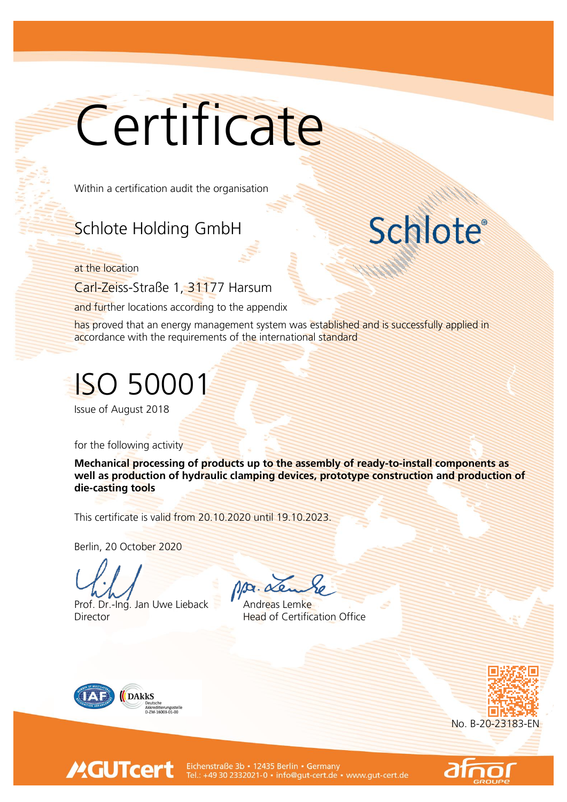## **Certificate**

Within a certification audit the organisation

## Schlote Holding GmbH

at the location

Carl-Zeiss-Straße 1, 31177 Harsum

and further locations according to the appendix

has proved that an energy management system was established and is successfully applied in accordance with the requirements of the international standard

## ISO 50001

Issue of August 2018

for the following activity

Mechanical processing of products up to the assembly of ready-to-install components as well as production of hydraulic clamping devices, prototype construction and production of die-casting tools

This certificate is valid from 20.10.2020 until 19.10.2023.

Berlin, 20 October 2020

Prof. Dr.-Ing. Jan Uwe Lieback Andreas Lemke Director **Head of Certification Office** 

Ma. Le



**MGUTcert** 





**Schlote®** 

Eichenstraße 3b · 12435 Berlin · Germany Tel.: +49 30 2332021-0 · info@gut-cert.de · www.gut-cert.de